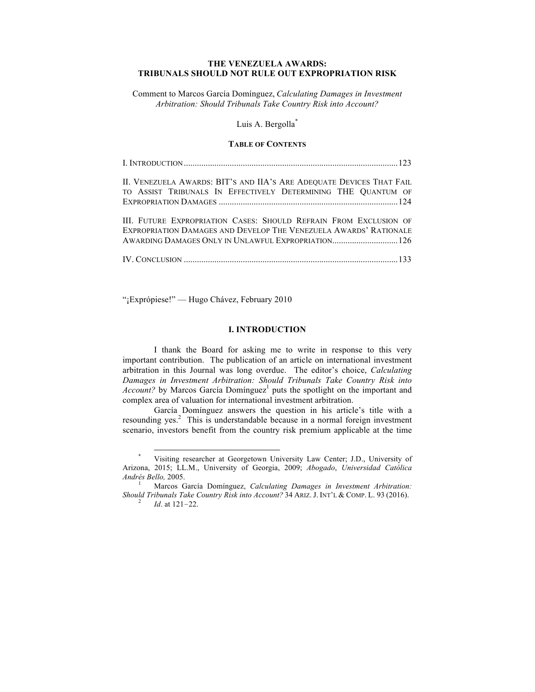# **THE VENEZUELA AWARDS: TRIBUNALS SHOULD NOT RULE OUT EXPROPRIATION RISK**

Comment to Marcos García Domínguez, *Calculating Damages in Investment Arbitration: Should Tribunals Take Country Risk into Account?*

## Luis A. Bergolla<sup>\*</sup>

### **TABLE OF CONTENTS**

| II. VENEZUELA AWARDS: BIT'S AND IIA'S ARE ADEQUATE DEVICES THAT FAIL |  |
|----------------------------------------------------------------------|--|
| TO ASSIST TRIBUNALS IN EFFECTIVELY DETERMINING THE QUANTUM OF        |  |
|                                                                      |  |
| III. FUTURE EXPROPRIATION CASES: SHOULD REFRAIN FROM EXCLUSION OF    |  |
| EXPROPRIATION DAMAGES AND DEVELOP THE VENEZUELA AWARDS' RATIONALE    |  |
|                                                                      |  |

IV. CONCLUSION ..................................................................................................133

"¡Exprópiese!" — Hugo Chávez, February 2010

#### **I. INTRODUCTION**

I thank the Board for asking me to write in response to this very important contribution. The publication of an article on international investment arbitration in this Journal was long overdue. The editor's choice, *Calculating Damages in Investment Arbitration: Should Tribunals Take Country Risk into Account?* by Marcos García Domínguez<sup>1</sup> puts the spotlight on the important and complex area of valuation for international investment arbitration.

García Domínguez answers the question in his article's title with a resounding yes. 2 This is understandable because in a normal foreign investment scenario, investors benefit from the country risk premium applicable at the time

Visiting researcher at Georgetown University Law Center; J.D., University of Arizona, 2015; LL.M., University of Georgia, 2009; *Abogado*, *Universidad Católica Andrés Bello,* 2005.<br><sup>1</sup> Marcos García Domínguez, *Calculating Damages in Investment Arbitration:* 

*Should Tribunals Take Country Risk into Account?* <sup>34</sup> ARIZ. J. INT'L & COMP. L. <sup>93</sup> (2016). <sup>2</sup> *Id*. at <sup>121</sup>–22.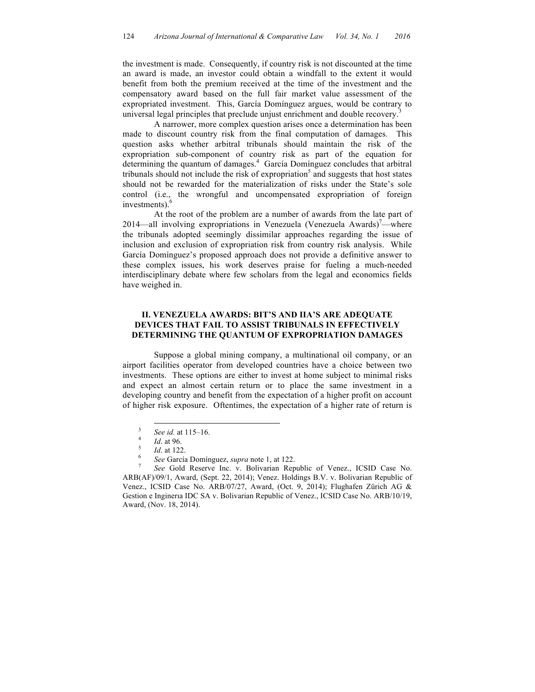the investment is made. Consequently, if country risk is not discounted at the time an award is made, an investor could obtain a windfall to the extent it would benefit from both the premium received at the time of the investment and the compensatory award based on the full fair market value assessment of the expropriated investment. This, García Domínguez argues, would be contrary to universal legal principles that preclude unjust enrichment and double recovery.

A narrower, more complex question arises once a determination has been made to discount country risk from the final computation of damages. This question asks whether arbitral tribunals should maintain the risk of the expropriation sub-component of country risk as part of the equation for determining the quantum of damages. 4 García Domínguez concludes that arbitral tribunals should not include the risk of expropriation<sup>5</sup> and suggests that host states should not be rewarded for the materialization of risks under the State's sole control (i.e., the wrongful and uncompensated expropriation of foreign investments). 6

At the root of the problem are a number of awards from the late part of 2014—all involving expropriations in Venezuela (Venezuela Awards)<sup>7</sup>—where the tribunals adopted seemingly dissimilar approaches regarding the issue of inclusion and exclusion of expropriation risk from country risk analysis. While García Domínguez's proposed approach does not provide a definitive answer to these complex issues, his work deserves praise for fueling a much-needed interdisciplinary debate where few scholars from the legal and economics fields have weighed in.

## **II. VENEZUELA AWARDS: BIT'S AND IIA'S ARE ADEQUATE DEVICES THAT FAIL TO ASSIST TRIBUNALS IN EFFECTIVELY DETERMINING THE QUANTUM OF EXPROPRIATION DAMAGES**

Suppose a global mining company, a multinational oil company, or an airport facilities operator from developed countries have a choice between two investments. These options are either to invest at home subject to minimal risks and expect an almost certain return or to place the same investment in a developing country and benefit from the expectation of a higher profit on account of higher risk exposure. Oftentimes, the expectation of a higher rate of return is

<sup>3</sup> *See id.* at 115–16. 4 *Id*. at 96. <sup>5</sup> *Id*. at 122. <sup>6</sup> *See* García Domínguez, *supra* note 1, at 122. <sup>7</sup> *See* Gold Reserve Inc. v. Bolivarian Republic of Venez., ICSID Case No. ARB(AF)/09/1, Award, (Sept. 22, 2014); Venez. Holdings B.V. v. Bolivarian Republic of Venez., ICSID Case No. ARB/07/27, Award, (Oct. 9, 2014); Flughafen Zürich AG & Gestion e Inginerıa IDC SA v. Bolivarian Republic of Venez., ICSID Case No. ARB/10/19, Award, (Nov. 18, 2014).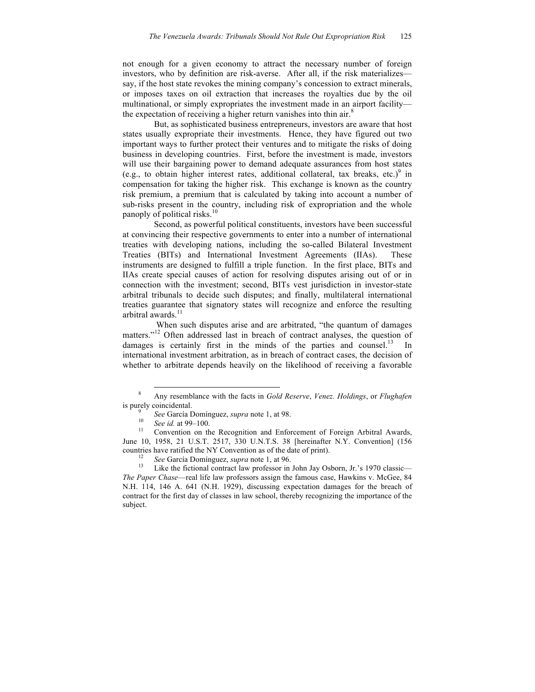not enough for a given economy to attract the necessary number of foreign investors, who by definition are risk-averse. After all, if the risk materializes say, if the host state revokes the mining company's concession to extract minerals, or imposes taxes on oil extraction that increases the royalties due by the oil multinational, or simply expropriates the investment made in an airport facility the expectation of receiving a higher return vanishes into thin air.<sup>8</sup>

But, as sophisticated business entrepreneurs, investors are aware that host states usually expropriate their investments. Hence, they have figured out two important ways to further protect their ventures and to mitigate the risks of doing business in developing countries. First, before the investment is made, investors will use their bargaining power to demand adequate assurances from host states (e.g., to obtain higher interest rates, additional collateral, tax breaks, etc.) <sup>9</sup> in compensation for taking the higher risk. This exchange is known as the country risk premium, a premium that is calculated by taking into account a number of sub-risks present in the country, including risk of expropriation and the whole panoply of political risks.<sup>10</sup>

Second, as powerful political constituents, investors have been successful at convincing their respective governments to enter into a number of international treaties with developing nations, including the so-called Bilateral Investment Treaties (BITs) and International Investment Agreements (IIAs). These instruments are designed to fulfill a triple function. In the first place, BITs and IIAs create special causes of action for resolving disputes arising out of or in connection with the investment; second, BITs vest jurisdiction in investor-state arbitral tribunals to decide such disputes; and finally, multilateral international treaties guarantee that signatory states will recognize and enforce the resulting arbitral awards. $11$ 

When such disputes arise and are arbitrated, "the quantum of damages matters."<sup>12</sup> Often addressed last in breach of contract analyses, the question of damages is certainly first in the minds of the parties and counsel.<sup>13</sup> In international investment arbitration, as in breach of contract cases, the decision of whether to arbitrate depends heavily on the likelihood of receiving a favorable

 <sup>8</sup> Any resemblance with the facts in *Gold Reserve*, *Venez. Holdings*, or *Flughafen* is purely coincidental.<br><sup>9</sup> *See* García Domínguez, *supra* note 1, at 98.<br><sup>10</sup> *See id.* at 99–100.<br><sup>11</sup> Convention on the Recognition and Enforcement of Foreign Arbitral Awards,

June 10, 1958, 21 U.S.T. 2517, 330 U.N.T.S. 38 [hereinafter N.Y. Convention] (156 countries have ratified the NY Convention as of the date of print).<br><sup>12</sup> *See* García Domínguez, *supra* note 1, at 96.<br><sup>13</sup> Like the fictional contract law professor in John Jay Osborn, Jr.'s 1970 classic—

*The Paper Chase*—real life law professors assign the famous case, Hawkins v. McGee, 84 N.H. 114, 146 A. 641 (N.H. 1929), discussing expectation damages for the breach of contract for the first day of classes in law school, thereby recognizing the importance of the subject.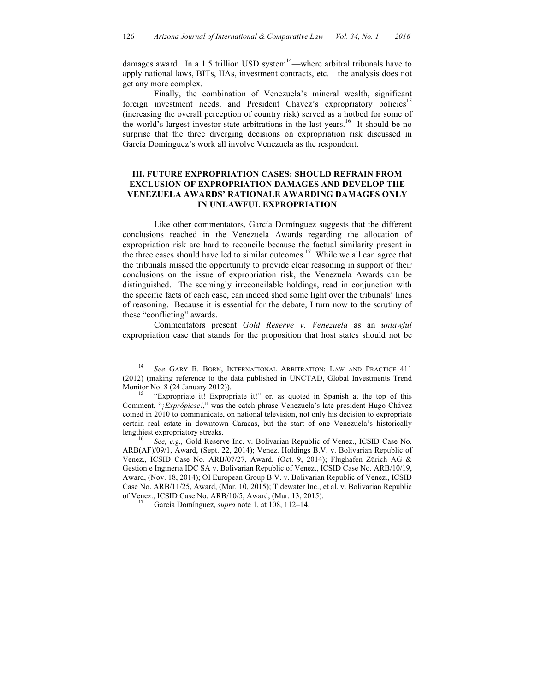damages award. In a 1.5 trillion USD system<sup>14</sup>—where arbitral tribunals have to apply national laws, BITs, IIAs, investment contracts, etc.—the analysis does not get any more complex.

Finally, the combination of Venezuela's mineral wealth, significant foreign investment needs, and President Chavez's expropriatory policies<sup>15</sup> (increasing the overall perception of country risk) served as a hotbed for some of the world's largest investor-state arbitrations in the last years.<sup>16</sup> It should be no surprise that the three diverging decisions on expropriation risk discussed in García Domínguez's work all involve Venezuela as the respondent.

# **III. FUTURE EXPROPRIATION CASES: SHOULD REFRAIN FROM EXCLUSION OF EXPROPRIATION DAMAGES AND DEVELOP THE VENEZUELA AWARDS' RATIONALE AWARDING DAMAGES ONLY IN UNLAWFUL EXPROPRIATION**

Like other commentators, García Domínguez suggests that the different conclusions reached in the Venezuela Awards regarding the allocation of expropriation risk are hard to reconcile because the factual similarity present in the three cases should have led to similar outcomes.<sup>17</sup> While we all can agree that the tribunals missed the opportunity to provide clear reasoning in support of their conclusions on the issue of expropriation risk, the Venezuela Awards can be distinguished. The seemingly irreconcilable holdings, read in conjunction with the specific facts of each case, can indeed shed some light over the tribunals' lines of reasoning. Because it is essential for the debate, I turn now to the scrutiny of these "conflicting" awards.

Commentators present *Gold Reserve v. Venezuela* as an *unlawful* expropriation case that stands for the proposition that host states should not be

 <sup>14</sup> *See* GARY B. BORN, INTERNATIONAL ARBITRATION: LAW AND PRACTICE 411 (2012) (making reference to the data published in UNCTAD, Global Investments Trend Monitor No. 8 (24 January 2012)).<br><sup>15</sup> "Expropriate it! Expropriate it!" or, as quoted in Spanish at the top of this

Comment, "*¡Exprópiese!*," was the catch phrase Venezuela's late president Hugo Chávez coined in 2010 to communicate, on national television, not only his decision to expropriate certain real estate in downtown Caracas, but the start of one Venezuela's historically lengthiest expropriatory streaks. <sup>16</sup> *See, e.g.,* Gold Reserve Inc. v. Bolivarian Republic of Venez., ICSID Case No.

ARB(AF)/09/1, Award, (Sept. 22, 2014); Venez. Holdings B.V. v. Bolivarian Republic of Venez., ICSID Case No. ARB/07/27, Award, (Oct. 9, 2014); Flughafen Zürich AG & Gestion e Inginerıa IDC SA v. Bolivarian Republic of Venez., ICSID Case No. ARB/10/19, Award, (Nov. 18, 2014); OI European Group B.V. v. Bolivarian Republic of Venez., ICSID Case No. ARB/11/25, Award, (Mar. 10, 2015); Tidewater Inc., et al. v. Bolivarian Republic of Venez., ICSID Case No. ARB/10/5, Award, (Mar. 13, 2015). <sup>17</sup> García Domínguez, *supra* note 1, at 108, 112–14.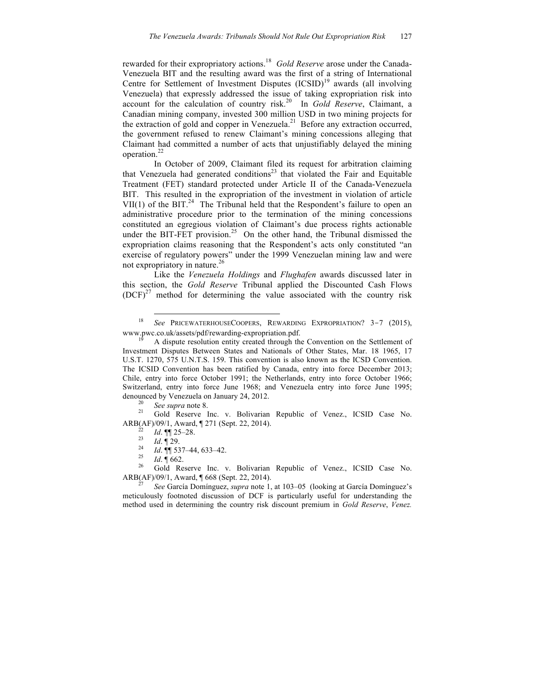rewarded for their expropriatory actions. 18 *Gold Reserve* arose under the Canada-Venezuela BIT and the resulting award was the first of a string of International Centre for Settlement of Investment Disputes (ICSID) <sup>19</sup> awards (all involving Venezuela) that expressly addressed the issue of taking expropriation risk into account for the calculation of country risk. 20 In *Gold Reserve*, Claimant, a Canadian mining company, invested 300 million USD in two mining projects for the extraction of gold and copper in Venezuela.<sup>21</sup> Before any extraction occurred, the government refused to renew Claimant's mining concessions alleging that Claimant had committed a number of acts that unjustifiably delayed the mining operation.<sup>22</sup>

In October of 2009, Claimant filed its request for arbitration claiming that Venezuela had generated conditions<sup>23</sup> that violated the Fair and Equitable Treatment (FET) standard protected under Article II of the Canada-Venezuela BIT. This resulted in the expropriation of the investment in violation of article VII(1) of the BIT.<sup>24</sup> The Tribunal held that the Respondent's failure to open an administrative procedure prior to the termination of the mining concessions constituted an egregious violation of Claimant's due process rights actionable under the BIT-FET provision. 25 On the other hand, the Tribunal dismissed the expropriation claims reasoning that the Respondent's acts only constituted "an exercise of regulatory powers" under the 1999 Venezuelan mining law and were not expropriatory in nature. 26

Like the *Venezuela Holdings* and *Flughafen* awards discussed later in this section, the *Gold Reserve* Tribunal applied the Discounted Cash Flows  $(DCF)^{27}$  method for determining the value associated with the country risk

<sup>&</sup>lt;sup>18</sup> *See* PRICEWATERHOUSECOOPERS, REWARDING EXPROPRIATION? 3-7 (2015), www.pwc.co.uk/assets/pdf/rewarding-expropriation.pdf.

A dispute resolution entity created through the Convention on the Settlement of Investment Disputes Between States and Nationals of Other States, Mar. 18 1965, 17 U.S.T. 1270, 575 U.N.T.S. 159. This convention is also known as the ICSD Convention. The ICSID Convention has been ratified by Canada, entry into force December 2013; Chile, entry into force October 1991; the Netherlands, entry into force October 1966; Switzerland, entry into force June 1968; and Venezuela entry into force June 1995; denounced by Venezuela on January 24, 2012.<br><sup>20</sup> *See supra* note 8.<br><sup>21</sup> Gold Reserve Inc. v. Bolivarian Republic of Venez., ICSID Case No.

ARB(AF)/09/1, Award, ¶ 271 (Sept. 22, 2014).<br>
<sup>22</sup> *Id.* ¶ 25–28.<br>
<sup>23</sup> *Id.* ¶ 537–44, 633–42.<br>
<sup>25</sup> *Id.* ¶ 662.<br>
<sup>26</sup> Gold Reserve Inc. v. Bolivarian Republic of Venez., ICSID Case No.

ARB(AF)/09/1, Award, ¶ 668 (Sept. 22, 2014). <sup>27</sup> *See* García Domínguez, *supra* note 1, at 103–05 (looking at García Domínguez's

meticulously footnoted discussion of DCF is particularly useful for understanding the method used in determining the country risk discount premium in *Gold Reserve*, *Venez.*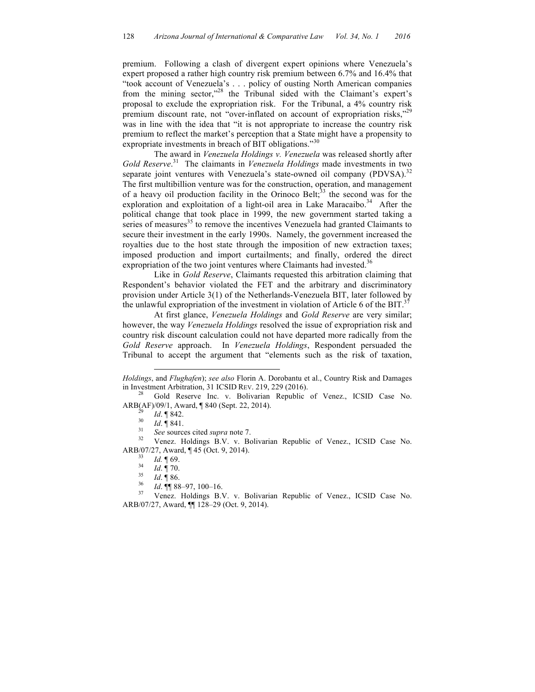premium. Following a clash of divergent expert opinions where Venezuela's expert proposed a rather high country risk premium between 6.7% and 16.4% that "took account of Venezuela's . . . policy of ousting North American companies from the mining sector,"<sup>28</sup> the Tribunal sided with the Claimant's expert's proposal to exclude the expropriation risk. For the Tribunal, a 4% country risk premium discount rate, not "over-inflated on account of expropriation risks,"<sup>29</sup> was in line with the idea that "it is not appropriate to increase the country risk premium to reflect the market's perception that a State might have a propensity to expropriate investments in breach of BIT obligations."<sup>30</sup>

The award in *Venezuela Holdings v. Venezuela* was released shortly after *Gold Reserve*. 31 The claimants in *Venezuela Holdings* made investments in two separate joint ventures with Venezuela's state-owned oil company (PDVSA).<sup>32</sup> The first multibillion venture was for the construction, operation, and management of a heavy oil production facility in the Orinoco Belt;<sup>33</sup> the second was for the exploration and exploitation of a light-oil area in Lake Maracaibo.<sup>34</sup> After the political change that took place in 1999, the new government started taking a series of measures $<sup>35</sup>$  to remove the incentives Venezuela had granted Claimants to</sup> secure their investment in the early 1990s. Namely, the government increased the royalties due to the host state through the imposition of new extraction taxes; imposed production and import curtailments; and finally, ordered the direct expropriation of the two joint ventures where Claimants had invested.<sup>36</sup>

Like in *Gold Reserve*, Claimants requested this arbitration claiming that Respondent's behavior violated the FET and the arbitrary and discriminatory provision under Article 3(1) of the Netherlands-Venezuela BIT, later followed by the unlawful expropriation of the investment in violation of Article 6 of the BIT.<sup>37</sup>

At first glance, *Venezuela Holdings* and *Gold Reserve* are very similar; however, the way *Venezuela Holdings* resolved the issue of expropriation risk and country risk discount calculation could not have departed more radically from the *Gold Reserve* approach. In *Venezuela Holdings*, Respondent persuaded the Tribunal to accept the argument that "elements such as the risk of taxation,

ARB(AF)/09/1, Award, ¶ 840 (Sept. 22, 2014).<br><sup>29</sup> *Id.* ¶ 842.<br><sup>30</sup> *Id.* ¶ 841.<br><sup>31</sup> *See* sources cited *supra* note 7.<br><sup>32</sup> Venez. Holdings B.V. v. Bolivarian Republic of Venez., ICSID Case No.

 $\overline{a}$ 

ARB/07/27, Award, ¶ 45 (Oct. 9, 2014).<br><sup>33</sup> *Id.* ¶ 69.<br><sup>35</sup> *Id.* ¶ 86.<br><sup>36</sup> *Id.* ¶ 88–97, 100–16.<br><sup>37</sup> Venez. Holdings B.V. v. Bolivarian Republic of Venez., ICSID Case No.

*Holdings*, and *Flughafen*); *see also* Florin A. Dorobantu et al., Country Risk and Damages in Investment Arbitration, 31 ICSID REV. 219, 229 (2016).<br><sup>28</sup> Gold Reserve Inc. v. Bolivarian Republic of Venez., ICSID Case No.

ARB/07/27, Award, ¶¶ 128–29 (Oct. 9, 2014).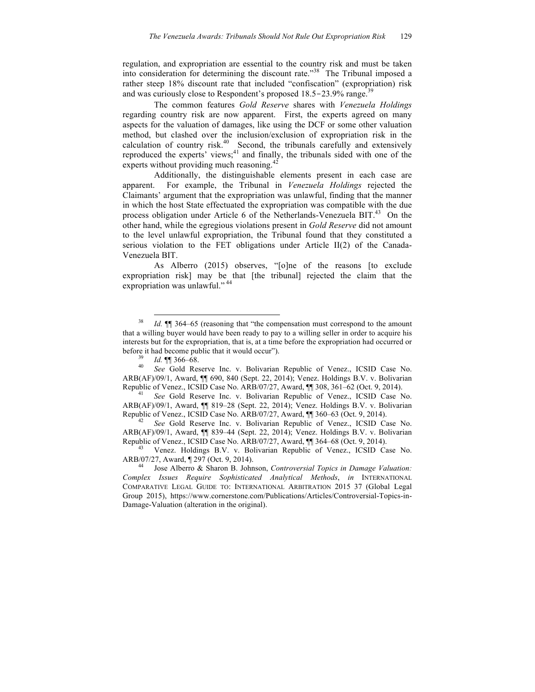regulation, and expropriation are essential to the country risk and must be taken into consideration for determining the discount rate."<sup>38</sup> The Tribunal imposed a rather steep 18% discount rate that included "confiscation" (expropriation) risk and was curiously close to Respondent's proposed 18.5-23.9% range.<sup>39</sup>

The common features *Gold Reserve* shares with *Venezuela Holdings* regarding country risk are now apparent. First, the experts agreed on many aspects for the valuation of damages, like using the DCF or some other valuation method, but clashed over the inclusion/exclusion of expropriation risk in the calculation of country risk. $40$  Second, the tribunals carefully and extensively reproduced the experts' views; $41$  and finally, the tribunals sided with one of the experts without providing much reasoning.<sup>42</sup>

Additionally, the distinguishable elements present in each case are apparent. For example, the Tribunal in *Venezuela Holdings* rejected the Claimants' argument that the expropriation was unlawful, finding that the manner in which the host State effectuated the expropriation was compatible with the due process obligation under Article 6 of the Netherlands-Venezuela BIT.<sup>43</sup> On the other hand, while the egregious violations present in *Gold Reserve* did not amount to the level unlawful expropriation, the Tribunal found that they constituted a serious violation to the FET obligations under Article II(2) of the Canada-Venezuela BIT.

As Alberro (2015) observes, "[o]ne of the reasons [to exclude expropriation risk] may be that [the tribunal] rejected the claim that the expropriation was unlawful." <sup>44</sup>

<sup>39</sup> *Id.* ¶¶ 366–68.<br><sup>40</sup> *See* Gold Reserve Inc. v. Bolivarian Republic of Venez., ICSID Case No. ARB(AF)/09/1, Award, ¶¶ 690, 840 (Sept. 22, 2014); Venez. Holdings B.V. v. Bolivarian Republic of Venez., ICSID Case No. ARB/07/27, Award, ¶¶ 308, 361–62 (Oct. 9, 2014). <sup>41</sup> *See* Gold Reserve Inc. v. Bolivarian Republic of Venez., ICSID Case No.

<sup>&</sup>lt;sup>38</sup> *Id.* **[1]** 364–65 (reasoning that "the compensation must correspond to the amount that a willing buyer would have been ready to pay to a willing seller in order to acquire his interests but for the expropriation, that is, at a time before the expropriation had occurred or before it had become public that it would occur").

ARB(AF)/09/1, Award, ¶¶ 819–28 (Sept. 22, 2014); Venez. Holdings B.V. v. Bolivarian Republic of Venez., ICSID Case No. ARB/07/27, Award, ¶¶ 360–63 (Oct. 9, 2014). <sup>42</sup> *See* Gold Reserve Inc. v. Bolivarian Republic of Venez., ICSID Case No.

ARB(AF)/09/1, Award, ¶¶ 839–44 (Sept. 22, 2014); Venez. Holdings B.V. v. Bolivarian Republic of Venez., ICSID Case No. ARB/07/27, Award, ¶¶ 364–68 (Oct. 9, 2014).<br><sup>43</sup> Venez. Holdings B.V. v. Bolivarian Republic of Venez., ICSID Case No.

ARB/07/27, Award, ¶ 297 (Oct. 9, 2014).<br><sup>44</sup> Jose Alberro & Sharon B. Johnson, *Controversial Topics in Damage Valuation*:

*Complex Issues Require Sophisticated Analytical Methods*, *in* INTERNATIONAL COMPARATIVE LEGAL GUIDE TO: INTERNATIONAL ARBITRATION 2015 37 (Global Legal Group 2015), https://www.cornerstone.com/Publications/Articles/Controversial-Topics-in-Damage-Valuation (alteration in the original).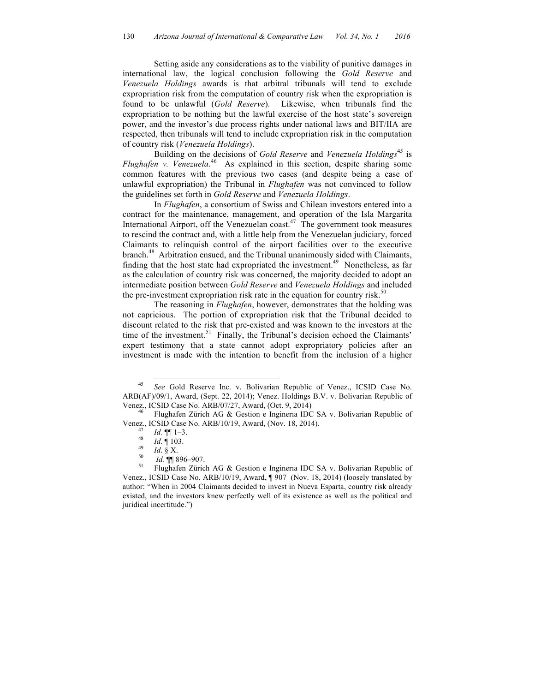Setting aside any considerations as to the viability of punitive damages in international law, the logical conclusion following the *Gold Reserve* and *Venezuela Holdings* awards is that arbitral tribunals will tend to exclude expropriation risk from the computation of country risk when the expropriation is found to be unlawful (*Gold Reserve*). Likewise, when tribunals find the expropriation to be nothing but the lawful exercise of the host state's sovereign power, and the investor's due process rights under national laws and BIT/IIA are respected, then tribunals will tend to include expropriation risk in the computation of country risk (*Venezuela Holdings*).

Building on the decisions of *Gold Reserve* and *Venezuela Holdings*<sup>45</sup> is *Flughafen v. Venezuela*. 46 As explained in this section, despite sharing some common features with the previous two cases (and despite being a case of unlawful expropriation) the Tribunal in *Flughafen* was not convinced to follow the guidelines set forth in *Gold Reserve* and *Venezuela Holdings*.

In *Flughafen*, a consortium of Swiss and Chilean investors entered into a contract for the maintenance, management, and operation of the Isla Margarita International Airport, off the Venezuelan coast. $47$  The government took measures to rescind the contract and, with a little help from the Venezuelan judiciary, forced Claimants to relinquish control of the airport facilities over to the executive branch. 48 Arbitration ensued, and the Tribunal unanimously sided with Claimants, finding that the host state had expropriated the investment.<sup>49</sup> Nonetheless, as far as the calculation of country risk was concerned, the majority decided to adopt an intermediate position between *Gold Reserve* and *Venezuela Holdings* and included the pre-investment expropriation risk rate in the equation for country risk.<sup>50</sup>

The reasoning in *Flughafen*, however, demonstrates that the holding was not capricious. The portion of expropriation risk that the Tribunal decided to discount related to the risk that pre-existed and was known to the investors at the time of the investment.<sup>51</sup> Finally, the Tribunal's decision echoed the Claimants' expert testimony that a state cannot adopt expropriatory policies after an investment is made with the intention to benefit from the inclusion of a higher

 <sup>45</sup> *See* Gold Reserve Inc. v. Bolivarian Republic of Venez., ICSID Case No. ARB(AF)/09/1, Award, (Sept. 22, 2014); Venez. Holdings B.V. v. Bolivarian Republic of Venez., ICSID Case No. ARB/07/27, Award, (Oct. 9, 2014)<br><sup>46</sup> Flughafen Zürich AG & Gestion e Ingineria IDC SA v. Bolivarian Republic of

Venez., ICSID Case No. ARB/10/19, Award, (Nov. 18, 2014).<br>
<sup>47</sup> *Id.* ¶ 1–3.<br>
<sup>48</sup> *Id.* ¶ 103.<br>
<sup>49</sup> *Id.* ¶ 896–907.<br>
<sup>51</sup> Flughafen Zürich AG & Gestion e Ingineria IDC SA v. Bolivarian Republic of

Venez., ICSID Case No. ARB/10/19, Award, ¶ 907 (Nov. 18, 2014) (loosely translated by author: "When in 2004 Claimants decided to invest in Nueva Esparta, country risk already existed, and the investors knew perfectly well of its existence as well as the political and juridical incertitude.")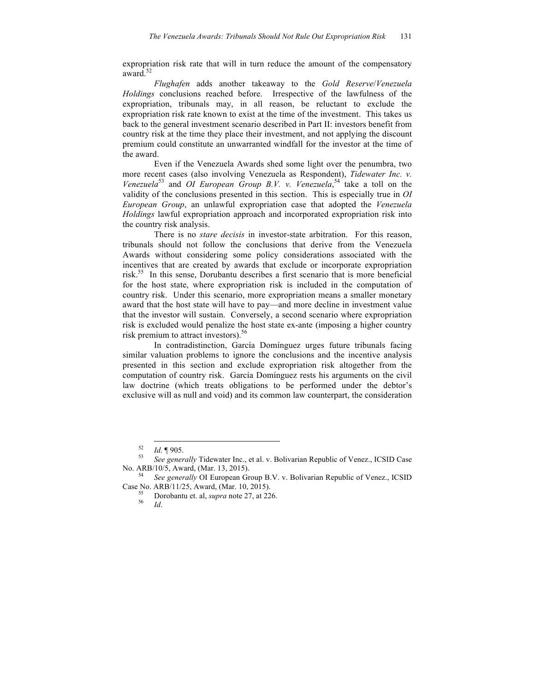expropriation risk rate that will in turn reduce the amount of the compensatory award.<sup>52</sup>

*Flughafen* adds another takeaway to the *Gold Reserve*/*Venezuela Holdings* conclusions reached before. Irrespective of the lawfulness of the expropriation, tribunals may, in all reason, be reluctant to exclude the expropriation risk rate known to exist at the time of the investment. This takes us back to the general investment scenario described in Part II: investors benefit from country risk at the time they place their investment, and not applying the discount premium could constitute an unwarranted windfall for the investor at the time of the award.

Even if the Venezuela Awards shed some light over the penumbra, two more recent cases (also involving Venezuela as Respondent), *Tidewater Inc. v.*  Venezuela<sup>53</sup> and *OI European Group B.V. v. Venezuela*, <sup>54</sup> take a toll on the validity of the conclusions presented in this section. This is especially true in *OI European Group*, an unlawful expropriation case that adopted the *Venezuela Holdings* lawful expropriation approach and incorporated expropriation risk into the country risk analysis.

There is no *stare decisis* in investor-state arbitration. For this reason, tribunals should not follow the conclusions that derive from the Venezuela Awards without considering some policy considerations associated with the incentives that are created by awards that exclude or incorporate expropriation risk. 55 In this sense, Dorubantu describes a first scenario that is more beneficial for the host state, where expropriation risk is included in the computation of country risk. Under this scenario, more expropriation means a smaller monetary award that the host state will have to pay—and more decline in investment value that the investor will sustain. Conversely, a second scenario where expropriation risk is excluded would penalize the host state ex-ante (imposing a higher country risk premium to attract investors). 56

In contradistinction, García Domínguez urges future tribunals facing similar valuation problems to ignore the conclusions and the incentive analysis presented in this section and exclude expropriation risk altogether from the computation of country risk. García Domínguez rests his arguments on the civil law doctrine (which treats obligations to be performed under the debtor's exclusive will as null and void) and its common law counterpart, the consideration

<sup>&</sup>lt;sup>52</sup> *Id.* ¶ 905.<br><sup>53</sup> *See generally* Tidewater Inc., et al. v. Bolivarian Republic of Venez., ICSID Case No. ARB/10/5, Award, (Mar. 13, 2015).

See generally OI European Group B.V. v. Bolivarian Republic of Venez., ICSID Case No. ARB/11/25, Award, (Mar. 10, 2015). <sup>55</sup> Dorobantu et. al, *supra* note 27, at 226. <sup>56</sup> *Id*.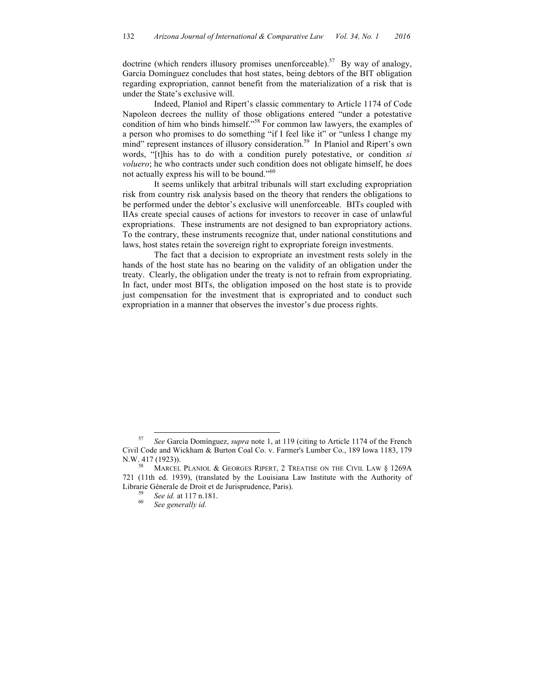doctrine (which renders illusory promises unenforceable).<sup>57</sup> By way of analogy, García Domínguez concludes that host states, being debtors of the BIT obligation regarding expropriation, cannot benefit from the materialization of a risk that is under the State's exclusive will.

Indeed, Planiol and Ripert's classic commentary to Article 1174 of Code Napoleon decrees the nullity of those obligations entered "under a potestative condition of him who binds himself."58 For common law lawyers, the examples of a person who promises to do something "if I feel like it" or "unless I change my mind" represent instances of illusory consideration.<sup>59</sup> In Planiol and Ripert's own words, "[t]his has to do with a condition purely potestative, or condition *si voluero*; he who contracts under such condition does not obligate himself, he does not actually express his will to be bound."<sup>60</sup>

It seems unlikely that arbitral tribunals will start excluding expropriation risk from country risk analysis based on the theory that renders the obligations to be performed under the debtor's exclusive will unenforceable. BITs coupled with IIAs create special causes of actions for investors to recover in case of unlawful expropriations. These instruments are not designed to ban expropriatory actions. To the contrary, these instruments recognize that, under national constitutions and laws, host states retain the sovereign right to expropriate foreign investments.

The fact that a decision to expropriate an investment rests solely in the hands of the host state has no bearing on the validity of an obligation under the treaty. Clearly, the obligation under the treaty is not to refrain from expropriating. In fact, under most BITs, the obligation imposed on the host state is to provide just compensation for the investment that is expropriated and to conduct such expropriation in a manner that observes the investor's due process rights.

 <sup>57</sup> *See* García Domínguez, *supra* note 1, at 119 (citing to Article 1174 of the French Civil Code and Wickham & Burton Coal Co. v. Farmer's Lumber Co., 189 Iowa 1183, 179 N.W. 417 (1923)).<br><sup>58</sup> MARCEL PLANIOL & GEORGES RIPERT, 2 TREATISE ON THE CIVIL LAW § 1269A

<sup>721 (11</sup>th ed. 1939), (translated by the Louisiana Law Institute with the Authority of Librarie Génerale de Droit et de Jurisprudence, Paris). <sup>59</sup> *See id.* at 117 n.181. <sup>60</sup> *See generally id.*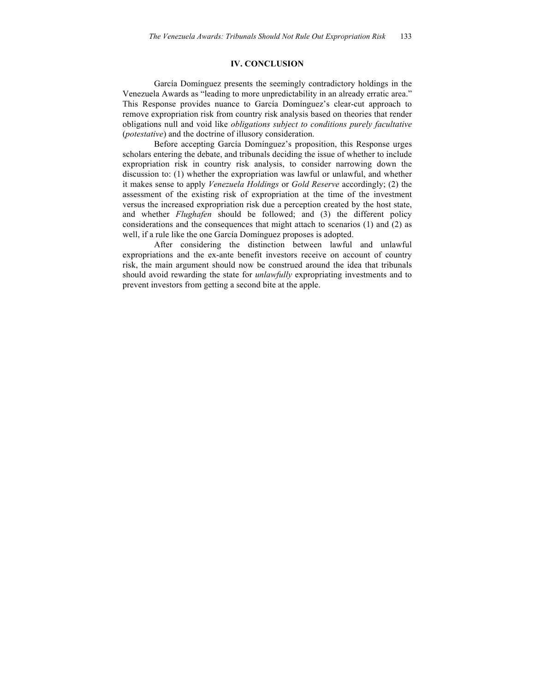### **IV. CONCLUSION**

García Domínguez presents the seemingly contradictory holdings in the Venezuela Awards as "leading to more unpredictability in an already erratic area." This Response provides nuance to García Domínguez's clear-cut approach to remove expropriation risk from country risk analysis based on theories that render obligations null and void like *obligations subject to conditions purely facultative*  (*potestative*) and the doctrine of illusory consideration.

Before accepting García Domínguez's proposition, this Response urges scholars entering the debate, and tribunals deciding the issue of whether to include expropriation risk in country risk analysis, to consider narrowing down the discussion to: (1) whether the expropriation was lawful or unlawful, and whether it makes sense to apply *Venezuela Holdings* or *Gold Reserve* accordingly; (2) the assessment of the existing risk of expropriation at the time of the investment versus the increased expropriation risk due a perception created by the host state, and whether *Flughafen* should be followed; and (3) the different policy considerations and the consequences that might attach to scenarios (1) and (2) as well, if a rule like the one García Domínguez proposes is adopted.

After considering the distinction between lawful and unlawful expropriations and the ex-ante benefit investors receive on account of country risk, the main argument should now be construed around the idea that tribunals should avoid rewarding the state for *unlawfully* expropriating investments and to prevent investors from getting a second bite at the apple.